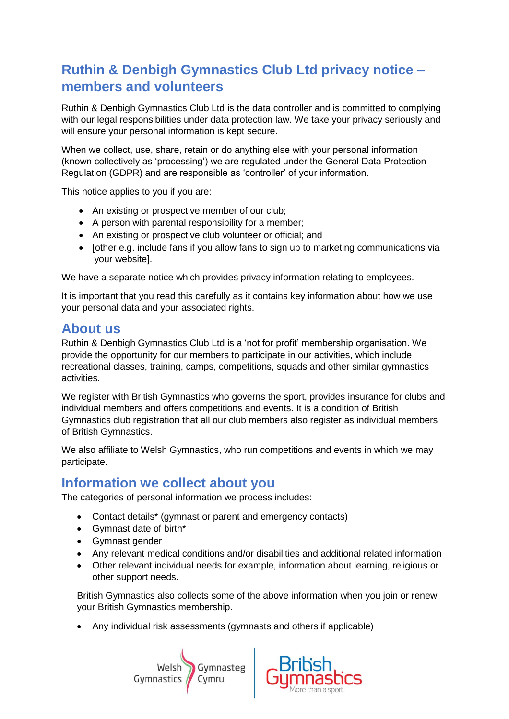# **Ruthin & Denbigh Gymnastics Club Ltd privacy notice – members and volunteers**

Ruthin & Denbigh Gymnastics Club Ltd is the data controller and is committed to complying with our legal responsibilities under data protection law. We take your privacy seriously and will ensure your personal information is kept secure.

When we collect, use, share, retain or do anything else with your personal information (known collectively as 'processing') we are regulated under the General Data Protection Regulation (GDPR) and are responsible as 'controller' of your information.

This notice applies to you if you are:

- An existing or prospective member of our club;
- A person with parental responsibility for a member;
- An existing or prospective club volunteer or official; and
- [other e.g. include fans if you allow fans to sign up to marketing communications via your website].

We have a separate notice which provides privacy information relating to employees.

It is important that you read this carefully as it contains key information about how we use your personal data and your associated rights.

## **About us**

Ruthin & Denbigh Gymnastics Club Ltd is a 'not for profit' membership organisation. We provide the opportunity for our members to participate in our activities, which include recreational classes, training, camps, competitions, squads and other similar gymnastics activities.

We register with British Gymnastics who governs the sport, provides insurance for clubs and individual members and offers competitions and events. It is a condition of British Gymnastics club registration that all our club members also register as individual members of British Gymnastics.

We also affiliate to Welsh Gymnastics, who run competitions and events in which we may participate.

### **Information we collect about you**

The categories of personal information we process includes:

- Contact details\* (gymnast or parent and emergency contacts)
- Gymnast date of birth\*
- Gymnast gender
- Any relevant medical conditions and/or disabilities and additional related information
- Other relevant individual needs for example, information about learning, religious or other support needs.

British Gymnastics also collects some of the above information when you join or renew your British Gymnastics membership.

• Any individual risk assessments (gymnasts and others if applicable)



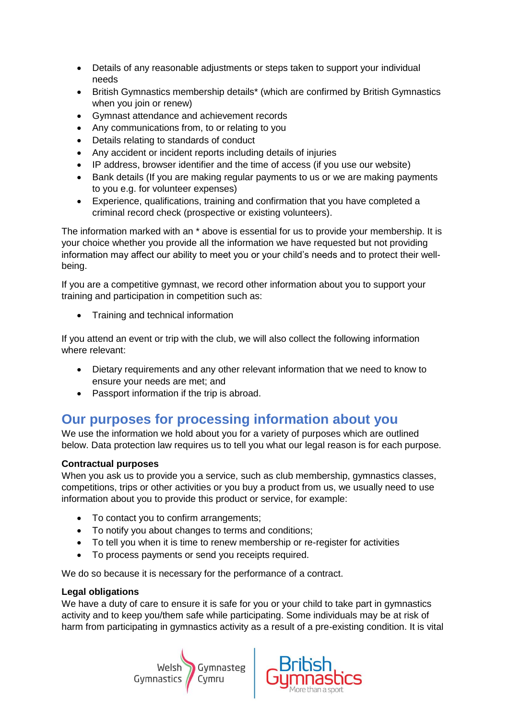- Details of any reasonable adjustments or steps taken to support your individual needs
- British Gymnastics membership details\* (which are confirmed by British Gymnastics when you join or renew)
- Gymnast attendance and achievement records
- Any communications from, to or relating to you
- Details relating to standards of conduct
- Any accident or incident reports including details of injuries
- IP address, browser identifier and the time of access (if you use our website)
- Bank details (If you are making regular payments to us or we are making payments to you e.g. for volunteer expenses)
- Experience, qualifications, training and confirmation that you have completed a criminal record check (prospective or existing volunteers).

The information marked with an \* above is essential for us to provide your membership. It is your choice whether you provide all the information we have requested but not providing information may affect our ability to meet you or your child's needs and to protect their wellbeing.

If you are a competitive gymnast, we record other information about you to support your training and participation in competition such as:

• Training and technical information

If you attend an event or trip with the club, we will also collect the following information where relevant:

- Dietary requirements and any other relevant information that we need to know to ensure your needs are met; and
- Passport information if the trip is abroad.

## **Our purposes for processing information about you**

We use the information we hold about you for a variety of purposes which are outlined below. Data protection law requires us to tell you what our legal reason is for each purpose.

#### **Contractual purposes**

When you ask us to provide you a service, such as club membership, gymnastics classes, competitions, trips or other activities or you buy a product from us, we usually need to use information about you to provide this product or service, for example:

- To contact you to confirm arrangements;
- To notify you about changes to terms and conditions;
- To tell you when it is time to renew membership or re-register for activities
- To process payments or send you receipts required.

We do so because it is necessary for the performance of a contract.

#### **Legal obligations**

We have a duty of care to ensure it is safe for you or your child to take part in gymnastics activity and to keep you/them safe while participating. Some individuals may be at risk of harm from participating in gymnastics activity as a result of a pre-existing condition. It is vital



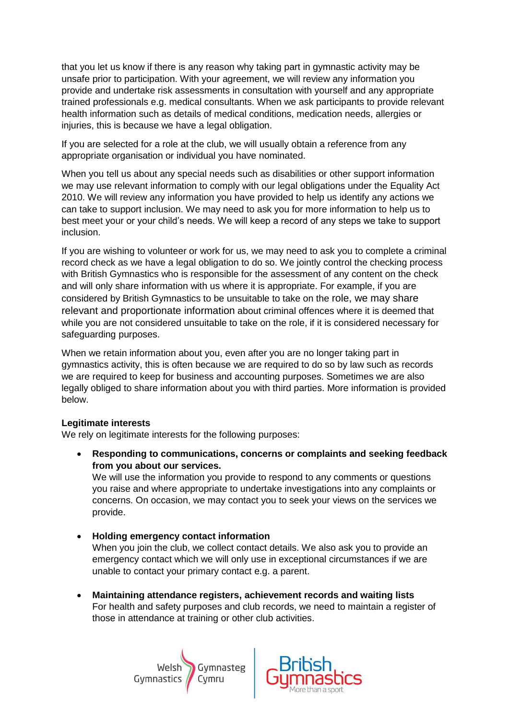that you let us know if there is any reason why taking part in gymnastic activity may be unsafe prior to participation. With your agreement, we will review any information you provide and undertake risk assessments in consultation with yourself and any appropriate trained professionals e.g. medical consultants. When we ask participants to provide relevant health information such as details of medical conditions, medication needs, allergies or injuries, this is because we have a legal obligation.

If you are selected for a role at the club, we will usually obtain a reference from any appropriate organisation or individual you have nominated.

When you tell us about any special needs such as disabilities or other support information we may use relevant information to comply with our legal obligations under the Equality Act 2010. We will review any information you have provided to help us identify any actions we can take to support inclusion. We may need to ask you for more information to help us to best meet your or your child's needs. We will keep a record of any steps we take to support inclusion.

If you are wishing to volunteer or work for us, we may need to ask you to complete a criminal record check as we have a legal obligation to do so. We jointly control the checking process with British Gymnastics who is responsible for the assessment of any content on the check and will only share information with us where it is appropriate. For example, if you are considered by British Gymnastics to be unsuitable to take on the role, we may share relevant and proportionate information about criminal offences where it is deemed that while you are not considered unsuitable to take on the role, if it is considered necessary for safeguarding purposes.

When we retain information about you, even after you are no longer taking part in gymnastics activity, this is often because we are required to do so by law such as records we are required to keep for business and accounting purposes. Sometimes we are also legally obliged to share information about you with third parties. More information is provided below.

#### **Legitimate interests**

We rely on legitimate interests for the following purposes:

• **Responding to communications, concerns or complaints and seeking feedback from you about our services.**

We will use the information you provide to respond to any comments or questions you raise and where appropriate to undertake investigations into any complaints or concerns. On occasion, we may contact you to seek your views on the services we provide.

- **Holding emergency contact information** When you join the club, we collect contact details. We also ask you to provide an emergency contact which we will only use in exceptional circumstances if we are unable to contact your primary contact e.g. a parent.
- **Maintaining attendance registers, achievement records and waiting lists** For health and safety purposes and club records, we need to maintain a register of those in attendance at training or other club activities.



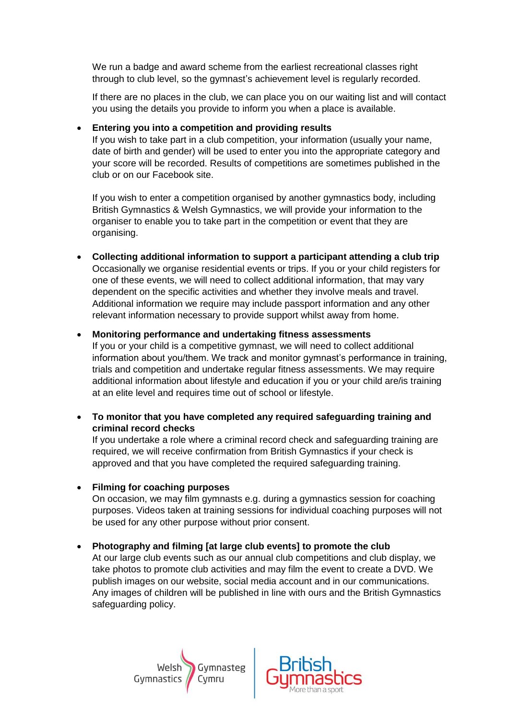We run a badge and award scheme from the earliest recreational classes right through to club level, so the gymnast's achievement level is regularly recorded.

If there are no places in the club, we can place you on our waiting list and will contact you using the details you provide to inform you when a place is available.

#### • **Entering you into a competition and providing results**

If you wish to take part in a club competition, your information (usually your name, date of birth and gender) will be used to enter you into the appropriate category and your score will be recorded. Results of competitions are sometimes published in the club or on our Facebook site.

If you wish to enter a competition organised by another gymnastics body, including British Gymnastics & Welsh Gymnastics, we will provide your information to the organiser to enable you to take part in the competition or event that they are organising.

• **Collecting additional information to support a participant attending a club trip** Occasionally we organise residential events or trips. If you or your child registers for one of these events, we will need to collect additional information, that may vary dependent on the specific activities and whether they involve meals and travel. Additional information we require may include passport information and any other relevant information necessary to provide support whilst away from home.

#### • **Monitoring performance and undertaking fitness assessments**

If you or your child is a competitive gymnast, we will need to collect additional information about you/them. We track and monitor gymnast's performance in training, trials and competition and undertake regular fitness assessments. We may require additional information about lifestyle and education if you or your child are/is training at an elite level and requires time out of school or lifestyle.

• **To monitor that you have completed any required safeguarding training and criminal record checks**

If you undertake a role where a criminal record check and safeguarding training are required, we will receive confirmation from British Gymnastics if your check is approved and that you have completed the required safeguarding training.

#### • **Filming for coaching purposes**

On occasion, we may film gymnasts e.g. during a gymnastics session for coaching purposes. Videos taken at training sessions for individual coaching purposes will not be used for any other purpose without prior consent.

• **Photography and filming [at large club events] to promote the club**

At our large club events such as our annual club competitions and club display, we take photos to promote club activities and may film the event to create a DVD. We publish images on our website, social media account and in our communications. Any images of children will be published in line with ours and the British Gymnastics safeguarding policy.



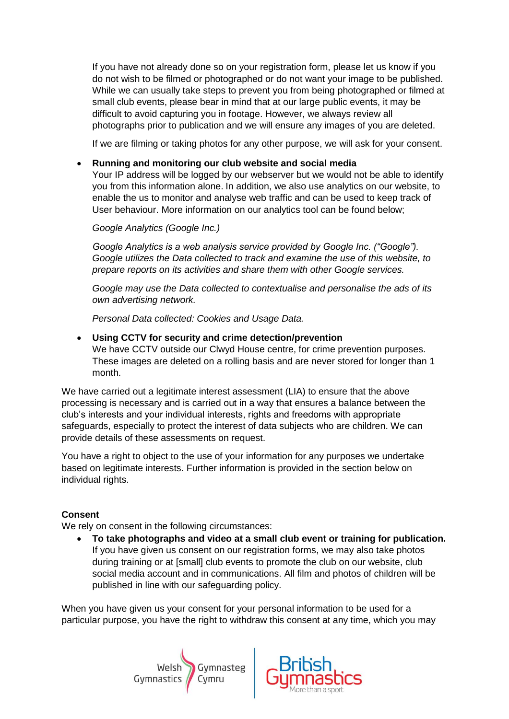If you have not already done so on your registration form, please let us know if you do not wish to be filmed or photographed or do not want your image to be published. While we can usually take steps to prevent you from being photographed or filmed at small club events, please bear in mind that at our large public events, it may be difficult to avoid capturing you in footage. However, we always review all photographs prior to publication and we will ensure any images of you are deleted.

If we are filming or taking photos for any other purpose, we will ask for your consent.

#### • **Running and monitoring our club website and social media**

Your IP address will be logged by our webserver but we would not be able to identify you from this information alone. In addition, we also use analytics on our website, to enable the us to monitor and analyse web traffic and can be used to keep track of User behaviour. More information on our analytics tool can be found below;

*Google Analytics (Google Inc.)*

*Google Analytics is a web analysis service provided by Google Inc. ("Google"). Google utilizes the Data collected to track and examine the use of this website, to prepare reports on its activities and share them with other Google services.*

*Google may use the Data collected to contextualise and personalise the ads of its own advertising network.*

*Personal Data collected: Cookies and Usage Data.*

• **Using CCTV for security and crime detection/prevention**

We have CCTV outside our Clwyd House centre, for crime prevention purposes. These images are deleted on a rolling basis and are never stored for longer than 1 month.

We have carried out a legitimate interest assessment (LIA) to ensure that the above processing is necessary and is carried out in a way that ensures a balance between the club's interests and your individual interests, rights and freedoms with appropriate safeguards, especially to protect the interest of data subjects who are children. We can provide details of these assessments on request.

You have a right to object to the use of your information for any purposes we undertake based on legitimate interests. Further information is provided in the section below on individual rights.

#### **Consent**

We rely on consent in the following circumstances:

• **To take photographs and video at a small club event or training for publication.** If you have given us consent on our registration forms, we may also take photos during training or at [small] club events to promote the club on our website, club social media account and in communications. All film and photos of children will be published in line with our safeguarding policy.

When you have given us your consent for your personal information to be used for a particular purpose, you have the right to withdraw this consent at any time, which you may



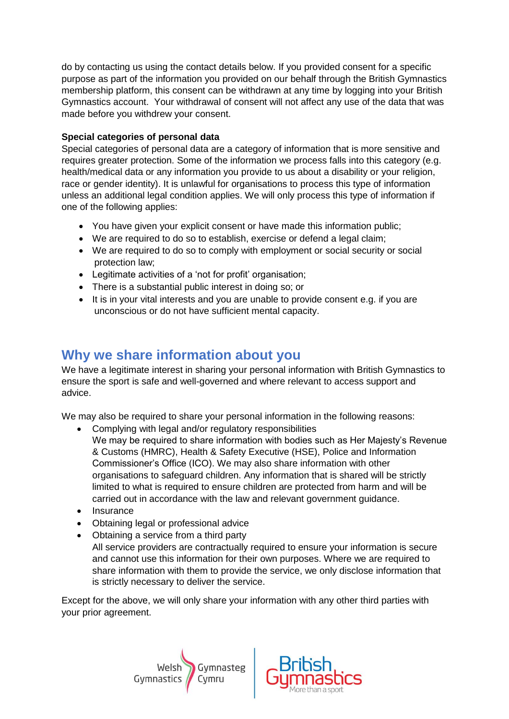do by contacting us using the contact details below. If you provided consent for a specific purpose as part of the information you provided on our behalf through the British Gymnastics membership platform, this consent can be withdrawn at any time by logging into your British Gymnastics account. Your withdrawal of consent will not affect any use of the data that was made before you withdrew your consent.

#### **Special categories of personal data**

Special categories of personal data are a category of information that is more sensitive and requires greater protection. Some of the information we process falls into this category (e.g. health/medical data or any information you provide to us about a disability or your religion, race or gender identity). It is unlawful for organisations to process this type of information unless an additional legal condition applies. We will only process this type of information if one of the following applies:

- You have given your explicit consent or have made this information public;
- We are required to do so to establish, exercise or defend a legal claim;
- We are required to do so to comply with employment or social security or social protection law;
- Legitimate activities of a 'not for profit' organisation;
- There is a substantial public interest in doing so; or
- It is in your vital interests and you are unable to provide consent e.g. if you are unconscious or do not have sufficient mental capacity.

# **Why we share information about you**

We have a legitimate interest in sharing your personal information with British Gymnastics to ensure the sport is safe and well-governed and where relevant to access support and advice.

We may also be required to share your personal information in the following reasons:

- Complying with legal and/or regulatory responsibilities We may be required to share information with bodies such as Her Majesty's Revenue & Customs (HMRC), Health & Safety Executive (HSE), Police and Information Commissioner's Office (ICO). We may also share information with other organisations to safeguard children. Any information that is shared will be strictly limited to what is required to ensure children are protected from harm and will be carried out in accordance with the law and relevant government guidance.
- Insurance
- Obtaining legal or professional advice
- Obtaining a service from a third party All service providers are contractually required to ensure your information is secure and cannot use this information for their own purposes. Where we are required to share information with them to provide the service, we only disclose information that is strictly necessary to deliver the service.

Except for the above, we will only share your information with any other third parties with your prior agreement.



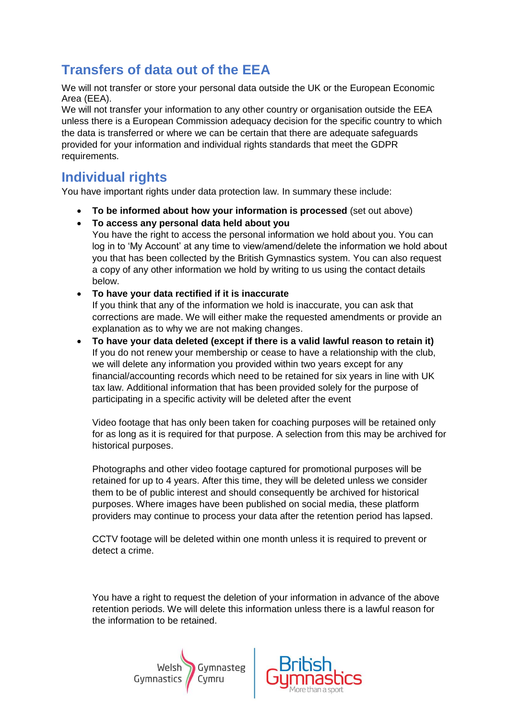# **Transfers of data out of the EEA**

We will not transfer or store your personal data outside the UK or the European Economic Area (EEA).

We will not transfer your information to any other country or organisation outside the EEA unless there is a European Commission adequacy decision for the specific country to which the data is transferred or where we can be certain that there are adequate safeguards provided for your information and individual rights standards that meet the GDPR requirements.

## **Individual rights**

You have important rights under data protection law. In summary these include:

- **To be informed about how your information is processed** (set out above)
- **To access any personal data held about you** You have the right to access the personal information we hold about you. You can log in to 'My Account' at any time to view/amend/delete the information we hold about you that has been collected by the British Gymnastics system. You can also request a copy of any other information we hold by writing to us using the contact details below.
- **To have your data rectified if it is inaccurate**

If you think that any of the information we hold is inaccurate, you can ask that corrections are made. We will either make the requested amendments or provide an explanation as to why we are not making changes.

• **To have your data deleted (except if there is a valid lawful reason to retain it)** If you do not renew your membership or cease to have a relationship with the club, we will delete any information you provided within two years except for any financial/accounting records which need to be retained for six years in line with UK tax law. Additional information that has been provided solely for the purpose of participating in a specific activity will be deleted after the event

Video footage that has only been taken for coaching purposes will be retained only for as long as it is required for that purpose. A selection from this may be archived for historical purposes.

Photographs and other video footage captured for promotional purposes will be retained for up to 4 years. After this time, they will be deleted unless we consider them to be of public interest and should consequently be archived for historical purposes. Where images have been published on social media, these platform providers may continue to process your data after the retention period has lapsed.

CCTV footage will be deleted within one month unless it is required to prevent or detect a crime.

You have a right to request the deletion of your information in advance of the above retention periods. We will delete this information unless there is a lawful reason for the information to be retained.



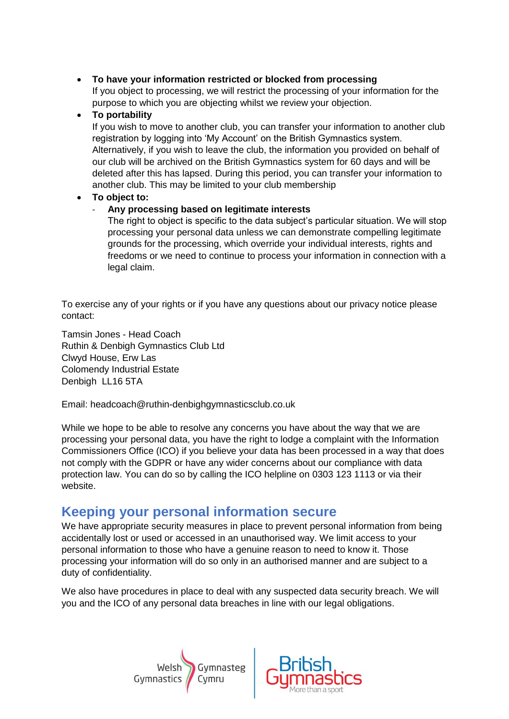#### • **To have your information restricted or blocked from processing** If you object to processing, we will restrict the processing of your information for the purpose to which you are objecting whilst we review your objection.

#### • **To portability**

If you wish to move to another club, you can transfer your information to another club registration by logging into 'My Account' on the British Gymnastics system. Alternatively, if you wish to leave the club, the information you provided on behalf of our club will be archived on the British Gymnastics system for 60 days and will be deleted after this has lapsed. During this period, you can transfer your information to another club. This may be limited to your club membership

#### • **To object to:**

#### - **Any processing based on legitimate interests**

The right to object is specific to the data subject's particular situation. We will stop processing your personal data unless we can demonstrate compelling legitimate grounds for the processing, which override your individual interests, rights and freedoms or we need to continue to process your information in connection with a legal claim.

To exercise any of your rights or if you have any questions about our privacy notice please contact:

Tamsin Jones - Head Coach Ruthin & Denbigh Gymnastics Club Ltd Clwyd House, Erw Las Colomendy Industrial Estate Denbigh LL16 5TA

Email: headcoach@ruthin-denbighgymnasticsclub.co.uk

While we hope to be able to resolve any concerns you have about the way that we are processing your personal data, you have the right to lodge a complaint with the Information Commissioners Office (ICO) if you believe your data has been processed in a way that does not comply with the GDPR or have any wider concerns about our compliance with data protection law. You can do so by calling the ICO helpline on 0303 123 1113 or via their website.

## **Keeping your personal information secure**

We have appropriate security measures in place to prevent personal information from being accidentally lost or used or accessed in an unauthorised way. We limit access to your personal information to those who have a genuine reason to need to know it. Those processing your information will do so only in an authorised manner and are subject to a duty of confidentiality.

We also have procedures in place to deal with any suspected data security breach. We will you and the ICO of any personal data breaches in line with our legal obligations.